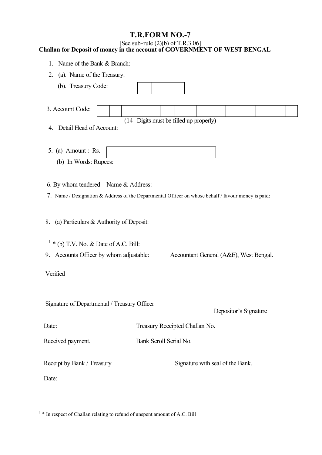## **T.R.FORM NO.-7**

## [See sub-rule  $(2)(b)$  of T.R.3.06] **Challan for Deposit of money in the account of GOVERNMENT OF WEST BENGAL**

- 1. Name of the Bank & Branch:
- 2. (a). Name of the Treasury:

| (b). Treasury Code:                                                                                                                               |                                |                                  |  |  |  |  |  |  |  |  |  |  |  |
|---------------------------------------------------------------------------------------------------------------------------------------------------|--------------------------------|----------------------------------|--|--|--|--|--|--|--|--|--|--|--|
| 3. Account Code:                                                                                                                                  |                                |                                  |  |  |  |  |  |  |  |  |  |  |  |
| (14- Digits must be filled up properly)<br>4. Detail Head of Account:                                                                             |                                |                                  |  |  |  |  |  |  |  |  |  |  |  |
| 5. (a) Amount : $Rs.$                                                                                                                             |                                |                                  |  |  |  |  |  |  |  |  |  |  |  |
| (b) In Words: Rupees:                                                                                                                             |                                |                                  |  |  |  |  |  |  |  |  |  |  |  |
| 6. By whom tendered $-$ Name $\&$ Address:<br>7. Name / Designation & Address of the Departmental Officer on whose behalf / favour money is paid: |                                |                                  |  |  |  |  |  |  |  |  |  |  |  |
| (a) Particulars $\&$ Authority of Deposit:<br>8.                                                                                                  |                                |                                  |  |  |  |  |  |  |  |  |  |  |  |
| $1 * (b)$ T.V. No. & Date of A.C. Bill:                                                                                                           |                                |                                  |  |  |  |  |  |  |  |  |  |  |  |
| 9. Accounts Officer by whom adjustable:<br>Accountant General (A&E), West Bengal.                                                                 |                                |                                  |  |  |  |  |  |  |  |  |  |  |  |
| Verified                                                                                                                                          |                                |                                  |  |  |  |  |  |  |  |  |  |  |  |
| Signature of Departmental / Treasury Officer<br>Depositor's Signature                                                                             |                                |                                  |  |  |  |  |  |  |  |  |  |  |  |
| Date:                                                                                                                                             | Treasury Receipted Challan No. |                                  |  |  |  |  |  |  |  |  |  |  |  |
| Received payment.                                                                                                                                 | Bank Scroll Serial No.         |                                  |  |  |  |  |  |  |  |  |  |  |  |
| Receipt by Bank / Treasury<br>Date:                                                                                                               |                                | Signature with seal of the Bank. |  |  |  |  |  |  |  |  |  |  |  |

<sup>&</sup>lt;sup>1</sup> \* In respect of Challan relating to refund of unspent amount of A.C. Bill